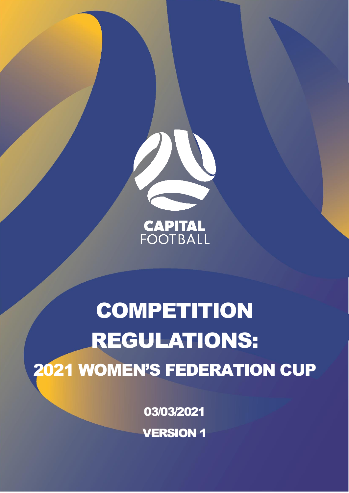

**CAPITAL**<br>FOOTBALL

# **COMPETITION** REGULATIONS: 2021 WOMEN'S FEDERATION CUP

03/03/2021

VERSION 1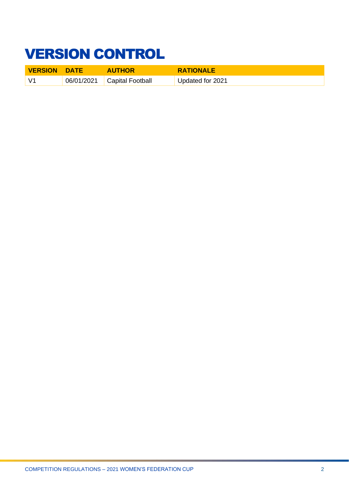# <span id="page-1-0"></span>VERSION CONTROL

| <b>VERSION DATE</b> | <b>AUTHOR</b>               | <b>RATIONALE</b> |
|---------------------|-----------------------------|------------------|
| $\sqrt{4}$          | 06/01/2021 Capital Football | Updated for 2021 |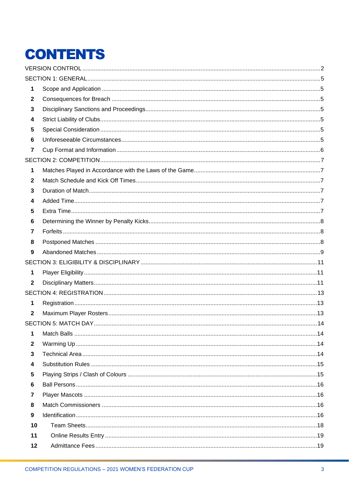# **CONTENTS**

| 1              |  |
|----------------|--|
| $\mathbf{2}$   |  |
| 3              |  |
| 4              |  |
| 5              |  |
| 6              |  |
| $\overline{7}$ |  |
|                |  |
| 1              |  |
| $\mathbf{2}$   |  |
| 3              |  |
| 4              |  |
| 5              |  |
| 6              |  |
| 7              |  |
| 8              |  |
| 9              |  |
|                |  |
| 1              |  |
| $\mathbf{2}$   |  |
|                |  |
| 1              |  |
| $\mathbf{2}$   |  |
|                |  |
| 1              |  |
| $\mathbf{2}$   |  |
| 3              |  |
| 4              |  |
| 5              |  |
| 6              |  |
| 7              |  |
| 8              |  |
| 9              |  |
| 10             |  |
| 11             |  |
| 12             |  |
|                |  |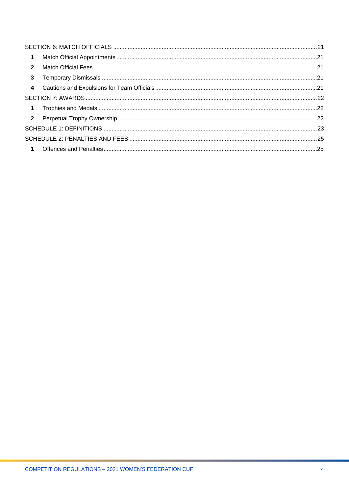| $\overline{1}$ |  |
|----------------|--|
| $\overline{2}$ |  |
| $\mathbf{3}$   |  |
| $\overline{4}$ |  |
|                |  |
| $\blacksquare$ |  |
|                |  |
|                |  |
|                |  |
|                |  |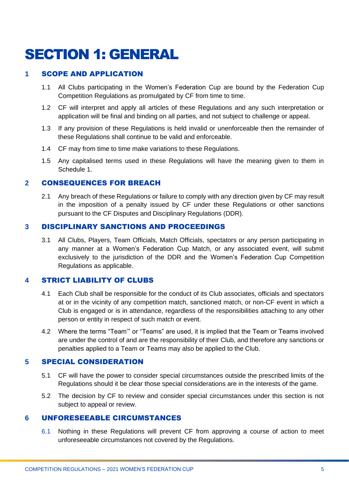# <span id="page-4-0"></span>SECTION 1: GENERAL

### <span id="page-4-1"></span>**1** SCOPE AND APPLICATION

- 1.1 All Clubs participating in the Women's Federation Cup are bound by the Federation Cup Competition Regulations as promulgated by CF from time to time.
- 1.2 CF will interpret and apply all articles of these Regulations and any such interpretation or application will be final and binding on all parties, and not subject to challenge or appeal.
- 1.3 If any provision of these Regulations is held invalid or unenforceable then the remainder of these Regulations shall continue to be valid and enforceable.
- 1.4 CF may from time to time make variations to these Regulations.
- 1.5 Any capitalised terms used in these Regulations will have the meaning given to them in Schedule 1.

### <span id="page-4-2"></span>**2** CONSEQUENCES FOR BREACH

2.1 Any breach of these Regulations or failure to comply with any direction given by CF may result in the imposition of a penalty issued by CF under these Regulations or other sanctions pursuant to the CF Disputes and Disciplinary Regulations (DDR).

### <span id="page-4-3"></span>**3** DISCIPLINARY SANCTIONS AND PROCEEDINGS

3.1 All Clubs, Players, Team Officials, Match Officials, spectators or any person participating in any manner at a Women's Federation Cup Match, or any associated event, will submit exclusively to the jurisdiction of the DDR and the Women's Federation Cup Competition Regulations as applicable.

### <span id="page-4-4"></span>**4** STRICT LIABILITY OF CLUBS

- 4.1 Each Club shall be responsible for the conduct of its Club associates, officials and spectators at or in the vicinity of any competition match, sanctioned match, or non-CF event in which a Club is engaged or is in attendance, regardless of the responsibilities attaching to any other person or entity in respect of such match or event.
- 4.2 Where the terms "Team'" or "Teams" are used, it is implied that the Team or Teams involved are under the control of and are the responsibility of their Club, and therefore any sanctions or penalties applied to a Team or Teams may also be applied to the Club.

### <span id="page-4-5"></span>**5** SPECIAL CONSIDERATION

- 5.1 CF will have the power to consider special circumstances outside the prescribed limits of the Regulations should it be clear those special considerations are in the interests of the game.
- 5.2 The decision by CF to review and consider special circumstances under this section is not subject to appeal or review.

### <span id="page-4-6"></span>**6** UNFORESEEABLE CIRCUMSTANCES

6.1 Nothing in these Regulations will prevent CF from approving a course of action to meet unforeseeable circumstances not covered by the Regulations.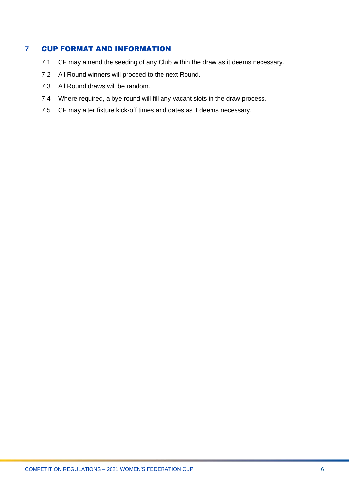### <span id="page-5-0"></span>**7** CUP FORMAT AND INFORMATION

- 7.1 CF may amend the seeding of any Club within the draw as it deems necessary.
- 7.2 All Round winners will proceed to the next Round.
- 7.3 All Round draws will be random.
- 7.4 Where required, a bye round will fill any vacant slots in the draw process.
- 7.5 CF may alter fixture kick-off times and dates as it deems necessary.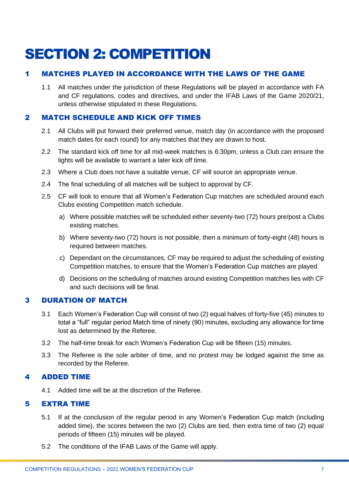# <span id="page-6-0"></span>SECTION 2: COMPETITION

# <span id="page-6-1"></span>1 MATCHES PLAYED IN ACCORDANCE WITH THE LAWS OF THE GAME

1.1 All matches under the jurisdiction of these Regulations will be played in accordance with FA and CF regulations, codes and directives, and under the IFAB Laws of the Game 2020/21, unless otherwise stipulated in these Regulations.

# <span id="page-6-2"></span>2 MATCH SCHEDULE AND KICK OFF TIMES

- 2.1 All Clubs will put forward their preferred venue, match day (in accordance with the proposed match dates for each round) for any matches that they are drawn to host.
- 2.2 The standard kick off time for all mid-week matches is 6:30pm, unless a Club can ensure the lights will be available to warrant a later kick off time.
- 2.3 Where a Club does not have a suitable venue, CF will source an appropriate venue.
- 2.4 The final scheduling of all matches will be subject to approval by CF.
- 2.5 CF will look to ensure that all Women's Federation Cup matches are scheduled around each Clubs existing Competition match schedule.
	- a) Where possible matches will be scheduled either seventy-two (72) hours pre/post a Clubs existing matches.
	- b) Where seventy-two (72) hours is not possible, then a minimum of forty-eight (48) hours is required between matches.
	- c) Dependant on the circumstances, CF may be required to adjust the scheduling of existing Competition matches, to ensure that the Women's Federation Cup matches are played.
	- d) Decisions on the scheduling of matches around existing Competition matches lies with CF and such decisions will be final.

# <span id="page-6-3"></span>3 DURATION OF MATCH

- 3.1 Each Women's Federation Cup will consist of two (2) equal halves of forty-five (45) minutes to total a "full" regular period Match time of ninety (90) minutes, excluding any allowance for time lost as determined by the Referee.
- 3.2 The half-time break for each Women's Federation Cup will be fifteen (15) minutes.
- 3.3 The Referee is the sole arbiter of time, and no protest may be lodged against the time as recorded by the Referee.

# <span id="page-6-4"></span>4 ADDED TIME

4.1 Added time will be at the discretion of the Referee.

# <span id="page-6-5"></span>5 EXTRA TIME

- 5.1 If at the conclusion of the regular period in any Women's Federation Cup match (including added time), the scores between the two (2) Clubs are tied, then extra time of two (2) equal periods of fifteen (15) minutes will be played.
- 5.2 The conditions of the IFAB Laws of the Game will apply.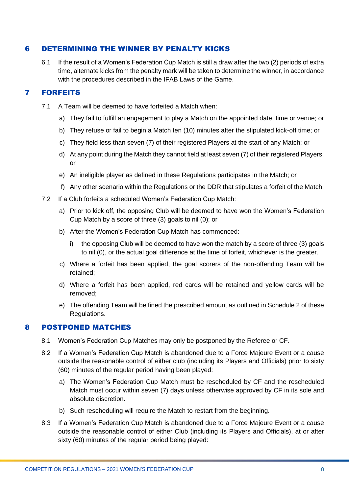### <span id="page-7-0"></span>6 DETERMINING THE WINNER BY PENALTY KICKS

6.1 If the result of a Women's Federation Cup Match is still a draw after the two (2) periods of extra time, alternate kicks from the penalty mark will be taken to determine the winner, in accordance with the procedures described in the IFAB Laws of the Game.

# 7 FORFEITS

- <span id="page-7-1"></span>7.1 A Team will be deemed to have forfeited a Match when:
	- a) They fail to fulfill an engagement to play a Match on the appointed date, time or venue; or
	- b) They refuse or fail to begin a Match ten (10) minutes after the stipulated kick-off time; or
	- c) They field less than seven (7) of their registered Players at the start of any Match; or
	- d) At any point during the Match they cannot field at least seven (7) of their registered Players; or
	- e) An ineligible player as defined in these Regulations participates in the Match; or
	- f) Any other scenario within the Regulations or the DDR that stipulates a forfeit of the Match.
- 7.2 If a Club forfeits a scheduled Women's Federation Cup Match:
	- a) Prior to kick off, the opposing Club will be deemed to have won the Women's Federation Cup Match by a score of three (3) goals to nil (0); or
	- b) After the Women's Federation Cup Match has commenced:
		- i) the opposing Club will be deemed to have won the match by a score of three (3) goals to nil (0), or the actual goal difference at the time of forfeit, whichever is the greater.
	- c) Where a forfeit has been applied, the goal scorers of the non-offending Team will be retained;
	- d) Where a forfeit has been applied, red cards will be retained and yellow cards will be removed;
	- e) The offending Team will be fined the prescribed amount as outlined in Schedule 2 of these Regulations.

### <span id="page-7-2"></span>8 POSTPONED MATCHES

- 8.1 Women's Federation Cup Matches may only be postponed by the Referee or CF.
- 8.2 If a Women's Federation Cup Match is abandoned due to a Force Majeure Event or a cause outside the reasonable control of either club (including its Players and Officials) prior to sixty (60) minutes of the regular period having been played:
	- a) The Women's Federation Cup Match must be rescheduled by CF and the rescheduled Match must occur within seven (7) days unless otherwise approved by CF in its sole and absolute discretion.
	- b) Such rescheduling will require the Match to restart from the beginning.
- 8.3 If a Women's Federation Cup Match is abandoned due to a Force Majeure Event or a cause outside the reasonable control of either Club (including its Players and Officials), at or after sixty (60) minutes of the regular period being played: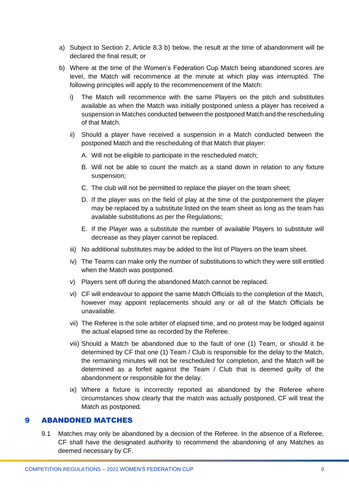- a) Subject to Section 2, Article 8.3 b) below, the result at the time of abandonment will be declared the final result; or
- b) Where at the time of the Women's Federation Cup Match being abandoned scores are level, the Match will recommence at the minute at which play was interrupted. The following principles will apply to the recommencement of the Match:
	- i) The Match will recommence with the same Players on the pitch and substitutes available as when the Match was initially postponed unless a player has received a suspension in Matches conducted between the postponed Match and the rescheduling of that Match.
	- ii) Should a player have received a suspension in a Match conducted between the postponed Match and the rescheduling of that Match that player:
		- A. Will not be eligible to participate in the rescheduled match;
		- B. Will not be able to count the match as a stand down in relation to any fixture suspension;
		- C. The club will not be permitted to replace the player on the team sheet;
		- D. If the player was on the field of play at the time of the postponement the player may be replaced by a substitute listed on the team sheet as long as the team has available substitutions as per the Regulations;
		- E. If the Player was a substitute the number of available Players to substitute will decrease as they player cannot be replaced.
	- iii) No additional substitutes may be added to the list of Players on the team sheet.
	- iv) The Teams can make only the number of substitutions to which they were still entitled when the Match was postponed.
	- v) Players sent off during the abandoned Match cannot be replaced.
	- vi) CF will endeavour to appoint the same Match Officials to the completion of the Match, however may appoint replacements should any or all of the Match Officials be unavailable.
	- vii) The Referee is the sole arbiter of elapsed time, and no protest may be lodged against the actual elapsed time as recorded by the Referee.
	- viii) Should a Match be abandoned due to the fault of one (1) Team, or should it be determined by CF that one (1) Team / Club is responsible for the delay to the Match, the remaining minutes will not be rescheduled for completion, and the Match will be determined as a forfeit against the Team / Club that is deemed guilty of the abandonment or responsible for the delay.
	- ix) Where a fixture is incorrectly reported as abandoned by the Referee where circumstances show clearly that the match was actually postponed, CF will treat the Match as postponed.

#### <span id="page-8-0"></span>9 ABANDONED MATCHES

9.1 Matches may only be abandoned by a decision of the Referee. In the absence of a Referee, CF shall have the designated authority to recommend the abandoning of any Matches as deemed necessary by CF.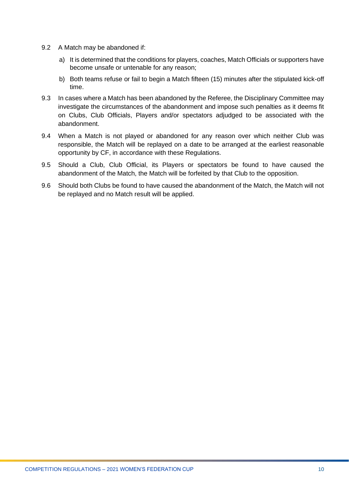- 9.2 A Match may be abandoned if:
	- a) It is determined that the conditions for players, coaches, Match Officials or supporters have become unsafe or untenable for any reason;
	- b) Both teams refuse or fail to begin a Match fifteen (15) minutes after the stipulated kick-off time.
- 9.3 In cases where a Match has been abandoned by the Referee, the Disciplinary Committee may investigate the circumstances of the abandonment and impose such penalties as it deems fit on Clubs, Club Officials, Players and/or spectators adjudged to be associated with the abandonment.
- 9.4 When a Match is not played or abandoned for any reason over which neither Club was responsible, the Match will be replayed on a date to be arranged at the earliest reasonable opportunity by CF, in accordance with these Regulations.
- 9.5 Should a Club, Club Official, its Players or spectators be found to have caused the abandonment of the Match, the Match will be forfeited by that Club to the opposition.
- 9.6 Should both Clubs be found to have caused the abandonment of the Match, the Match will not be replayed and no Match result will be applied.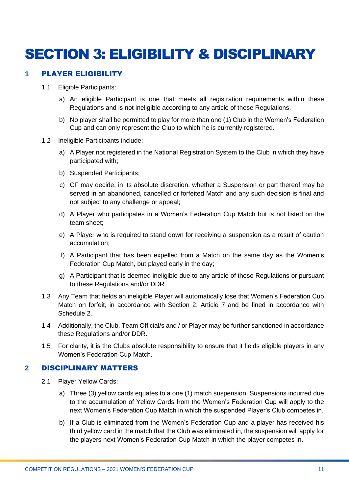# <span id="page-10-0"></span>SECTION 3: ELIGIBILITY & DISCIPLINARY

### <span id="page-10-1"></span>**1** PLAYER ELIGIBILITY

- 1.1 Eligible Participants:
	- a) An eligible Participant is one that meets all registration requirements within these Regulations and is not ineligible according to any article of these Regulations.
	- b) No player shall be permitted to play for more than one (1) Club in the Women's Federation Cup and can only represent the Club to which he is currently registered.
- 1.2 Ineligible Participants include:
	- a) A Player not registered in the National Registration System to the Club in which they have participated with;
	- b) Suspended Participants;
	- c) CF may decide, in its absolute discretion, whether a Suspension or part thereof may be served in an abandoned, cancelled or forfeited Match and any such decision is final and not subject to any challenge or appeal;
	- d) A Player who participates in a Women's Federation Cup Match but is not listed on the team sheet;
	- e) A Player who is required to stand down for receiving a suspension as a result of caution accumulation;
	- f) A Participant that has been expelled from a Match on the same day as the Women's Federation Cup Match, but played early in the day;
	- g) A Participant that is deemed ineligible due to any article of these Regulations or pursuant to these Regulations and/or DDR.
- 1.3 Any Team that fields an ineligible Player will automatically lose that Women's Federation Cup Match on forfeit, in accordance with Section 2, Article 7 and be fined in accordance with Schedule 2.
- 1.4 Additionally, the Club, Team Official/s and / or Player may be further sanctioned in accordance these Regulations and/or DDR.
- 1.5 For clarity, it is the Clubs absolute responsibility to ensure that it fields eligible players in any Women's Federation Cup Match.

### <span id="page-10-2"></span>**2** DISCIPLINARY MATTERS

- 2.1 Player Yellow Cards:
	- a) Three (3) yellow cards equates to a one (1) match suspension. Suspensions incurred due to the accumulation of Yellow Cards from the Women's Federation Cup will apply to the next Women's Federation Cup Match in which the suspended Player's Club competes in.
	- b) If a Club is eliminated from the Women's Federation Cup and a player has received his third yellow card in the match that the Club was eliminated in, the suspension will apply for the players next Women's Federation Cup Match in which the player competes in.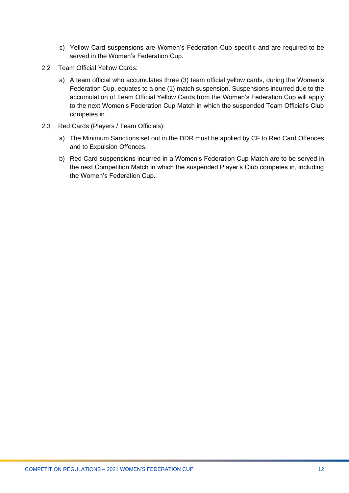- c) Yellow Card suspensions are Women's Federation Cup specific and are required to be served in the Women's Federation Cup.
- 2.2 Team Official Yellow Cards:
	- a) A team official who accumulates three (3) team official yellow cards, during the Women's Federation Cup, equates to a one (1) match suspension. Suspensions incurred due to the accumulation of Team Official Yellow Cards from the Women's Federation Cup will apply to the next Women's Federation Cup Match in which the suspended Team Official's Club competes in.
- 2.3 Red Cards (Players / Team Officials):
	- a) The Minimum Sanctions set out in the DDR must be applied by CF to Red Card Offences and to Expulsion Offences.
	- b) Red Card suspensions incurred in a Women's Federation Cup Match are to be served in the next Competition Match in which the suspended Player's Club competes in, including the Women's Federation Cup.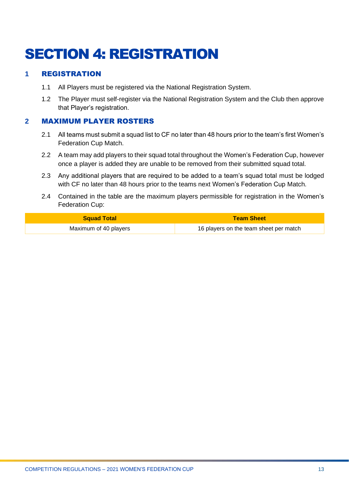# <span id="page-12-0"></span>SECTION 4: REGISTRATION

# <span id="page-12-1"></span>**1** REGISTRATION

- 1.1 All Players must be registered via the National Registration System.
- 1.2 The Player must self-register via the National Registration System and the Club then approve that Player's registration.

### <span id="page-12-2"></span>**2** MAXIMUM PLAYER ROSTERS

- 2.1 All teams must submit a squad list to CF no later than 48 hours prior to the team's first Women's Federation Cup Match.
- 2.2 A team may add players to their squad total throughout the Women's Federation Cup, however once a player is added they are unable to be removed from their submitted squad total.
- 2.3 Any additional players that are required to be added to a team's squad total must be lodged with CF no later than 48 hours prior to the teams next Women's Federation Cup Match.
- 2.4 Contained in the table are the maximum players permissible for registration in the Women's Federation Cup:

| <b>Squad Total</b>    | <b>Team Sheet</b>                      |  |
|-----------------------|----------------------------------------|--|
| Maximum of 40 players | 16 players on the team sheet per match |  |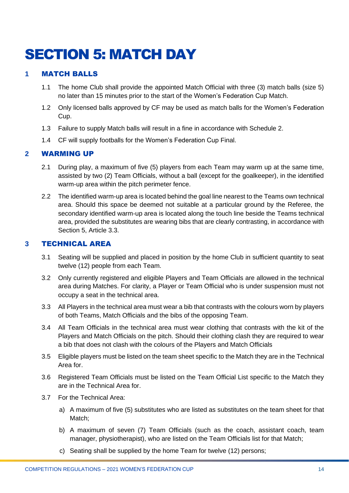# <span id="page-13-0"></span>SECTION 5: MATCH DAY

### <span id="page-13-1"></span>**1** MATCH BALLS

- 1.1 The home Club shall provide the appointed Match Official with three (3) match balls (size 5) no later than 15 minutes prior to the start of the Women's Federation Cup Match.
- 1.2 Only licensed balls approved by CF may be used as match balls for the Women's Federation Cup.
- 1.3 Failure to supply Match balls will result in a fine in accordance with Schedule 2.
- 1.4 CF will supply footballs for the Women's Federation Cup Final.

### <span id="page-13-2"></span>**2** WARMING UP

- 2.1 During play, a maximum of five (5) players from each Team may warm up at the same time, assisted by two (2) Team Officials, without a ball (except for the goalkeeper), in the identified warm-up area within the pitch perimeter fence.
- 2.2 The identified warm-up area is located behind the goal line nearest to the Teams own technical area. Should this space be deemed not suitable at a particular ground by the Referee, the secondary identified warm-up area is located along the touch line beside the Teams technical area, provided the substitutes are wearing bibs that are clearly contrasting, in accordance with Section 5, Article 3.3.

### <span id="page-13-3"></span>**3** TECHNICAL AREA

- 3.1 Seating will be supplied and placed in position by the home Club in sufficient quantity to seat twelve (12) people from each Team.
- 3.2 Only currently registered and eligible Players and Team Officials are allowed in the technical area during Matches. For clarity, a Player or Team Official who is under suspension must not occupy a seat in the technical area.
- 3.3 All Players in the technical area must wear a bib that contrasts with the colours worn by players of both Teams, Match Officials and the bibs of the opposing Team.
- 3.4 All Team Officials in the technical area must wear clothing that contrasts with the kit of the Players and Match Officials on the pitch. Should their clothing clash they are required to wear a bib that does not clash with the colours of the Players and Match Officials
- 3.5 Eligible players must be listed on the team sheet specific to the Match they are in the Technical Area for.
- 3.6 Registered Team Officials must be listed on the Team Official List specific to the Match they are in the Technical Area for.
- 3.7 For the Technical Area:
	- a) A maximum of five (5) substitutes who are listed as substitutes on the team sheet for that Match;
	- b) A maximum of seven (7) Team Officials (such as the coach, assistant coach, team manager, physiotherapist), who are listed on the Team Officials list for that Match;
	- c) Seating shall be supplied by the home Team for twelve (12) persons;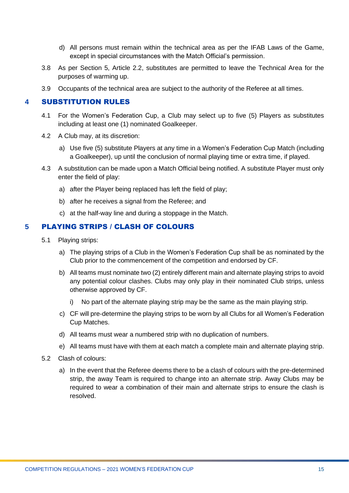- d) All persons must remain within the technical area as per the IFAB Laws of the Game, except in special circumstances with the Match Official's permission.
- 3.8 As per Section 5, Article 2.2, substitutes are permitted to leave the Technical Area for the purposes of warming up.
- 3.9 Occupants of the technical area are subject to the authority of the Referee at all times.

### <span id="page-14-0"></span>**4** SUBSTITUTION RULES

- 4.1 For the Women's Federation Cup, a Club may select up to five (5) Players as substitutes including at least one (1) nominated Goalkeeper.
- 4.2 A Club may, at its discretion:
	- a) Use five (5) substitute Players at any time in a Women's Federation Cup Match (including a Goalkeeper), up until the conclusion of normal playing time or extra time, if played.
- 4.3 A substitution can be made upon a Match Official being notified. A substitute Player must only enter the field of play:
	- a) after the Player being replaced has left the field of play;
	- b) after he receives a signal from the Referee; and
	- c) at the half-way line and during a stoppage in the Match.

# <span id="page-14-1"></span>**5** PLAYING STRIPS / CLASH OF COLOURS

- 5.1 Playing strips:
	- a) The playing strips of a Club in the Women's Federation Cup shall be as nominated by the Club prior to the commencement of the competition and endorsed by CF.
	- b) All teams must nominate two (2) entirely different main and alternate playing strips to avoid any potential colour clashes. Clubs may only play in their nominated Club strips, unless otherwise approved by CF.
		- No part of the alternate playing strip may be the same as the main playing strip.
	- c) CF will pre-determine the playing strips to be worn by all Clubs for all Women's Federation Cup Matches.
	- d) All teams must wear a numbered strip with no duplication of numbers.
	- e) All teams must have with them at each match a complete main and alternate playing strip.
- 5.2 Clash of colours:
	- a) In the event that the Referee deems there to be a clash of colours with the pre-determined strip, the away Team is required to change into an alternate strip. Away Clubs may be required to wear a combination of their main and alternate strips to ensure the clash is resolved.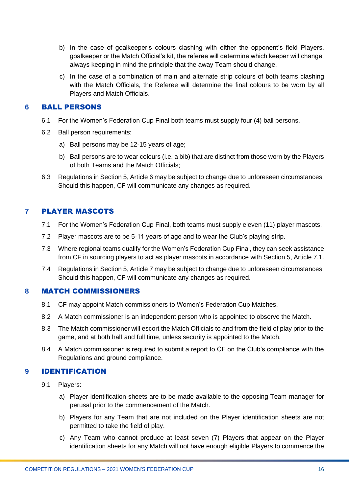- b) In the case of goalkeeper's colours clashing with either the opponent's field Players, goalkeeper or the Match Official's kit, the referee will determine which keeper will change, always keeping in mind the principle that the away Team should change.
- c) In the case of a combination of main and alternate strip colours of both teams clashing with the Match Officials, the Referee will determine the final colours to be worn by all Players and Match Officials.

#### <span id="page-15-0"></span>**6** BALL PERSONS

- 6.1 For the Women's Federation Cup Final both teams must supply four (4) ball persons.
- 6.2 Ball person requirements:
	- a) Ball persons may be 12-15 years of age;
	- b) Ball persons are to wear colours (i.e. a bib) that are distinct from those worn by the Players of both Teams and the Match Officials;
- 6.3 Regulations in Section 5, Article 6 may be subject to change due to unforeseen circumstances. Should this happen, CF will communicate any changes as required.

# <span id="page-15-1"></span>**7** PLAYER MASCOTS

- 7.1 For the Women's Federation Cup Final, both teams must supply eleven (11) player mascots.
- 7.2 Player mascots are to be 5-11 years of age and to wear the Club's playing strip.
- 7.3 Where regional teams qualify for the Women's Federation Cup Final, they can seek assistance from CF in sourcing players to act as player mascots in accordance with Section 5, Article 7.1.
- 7.4 Regulations in Section 5, Article 7 may be subject to change due to unforeseen circumstances. Should this happen, CF will communicate any changes as required.

### <span id="page-15-2"></span>**8** MATCH COMMISSIONERS

- 8.1 CF may appoint Match commissioners to Women's Federation Cup Matches.
- 8.2 A Match commissioner is an independent person who is appointed to observe the Match.
- 8.3 The Match commissioner will escort the Match Officials to and from the field of play prior to the game, and at both half and full time, unless security is appointed to the Match.
- 8.4 A Match commissioner is required to submit a report to CF on the Club's compliance with the Regulations and ground compliance.

### <span id="page-15-3"></span>**9** IDENTIFICATION

- 9.1 Players:
	- a) Player identification sheets are to be made available to the opposing Team manager for perusal prior to the commencement of the Match.
	- b) Players for any Team that are not included on the Player identification sheets are not permitted to take the field of play.
	- c) Any Team who cannot produce at least seven (7) Players that appear on the Player identification sheets for any Match will not have enough eligible Players to commence the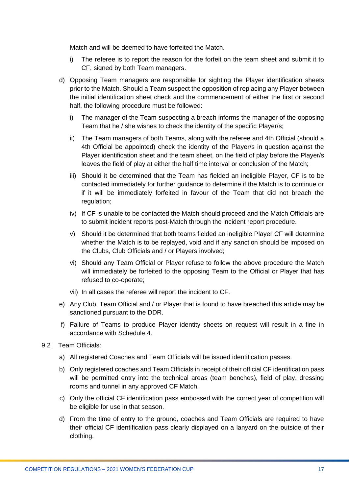Match and will be deemed to have forfeited the Match.

- i) The referee is to report the reason for the forfeit on the team sheet and submit it to CF, signed by both Team managers.
- d) Opposing Team managers are responsible for sighting the Player identification sheets prior to the Match. Should a Team suspect the opposition of replacing any Player between the initial identification sheet check and the commencement of either the first or second half, the following procedure must be followed:
	- i) The manager of the Team suspecting a breach informs the manager of the opposing Team that he / she wishes to check the identity of the specific Player/s;
	- ii) The Team managers of both Teams, along with the referee and 4th Official (should a 4th Official be appointed) check the identity of the Player/s in question against the Player identification sheet and the team sheet, on the field of play before the Player/s leaves the field of play at either the half time interval or conclusion of the Match;
	- iii) Should it be determined that the Team has fielded an ineligible Player, CF is to be contacted immediately for further guidance to determine if the Match is to continue or if it will be immediately forfeited in favour of the Team that did not breach the regulation;
	- iv) If CF is unable to be contacted the Match should proceed and the Match Officials are to submit incident reports post-Match through the incident report procedure.
	- v) Should it be determined that both teams fielded an ineligible Player CF will determine whether the Match is to be replayed, void and if any sanction should be imposed on the Clubs, Club Officials and / or Players involved;
	- vi) Should any Team Official or Player refuse to follow the above procedure the Match will immediately be forfeited to the opposing Team to the Official or Player that has refused to co-operate;
	- vii) In all cases the referee will report the incident to CF.
- e) Any Club, Team Official and / or Player that is found to have breached this article may be sanctioned pursuant to the DDR.
- f) Failure of Teams to produce Player identity sheets on request will result in a fine in accordance with Schedule 4.
- 9.2 Team Officials:
	- a) All registered Coaches and Team Officials will be issued identification passes.
	- b) Only registered coaches and Team Officials in receipt of their official CF identification pass will be permitted entry into the technical areas (team benches), field of play, dressing rooms and tunnel in any approved CF Match.
	- c) Only the official CF identification pass embossed with the correct year of competition will be eligible for use in that season.
	- d) From the time of entry to the ground, coaches and Team Officials are required to have their official CF identification pass clearly displayed on a lanyard on the outside of their clothing.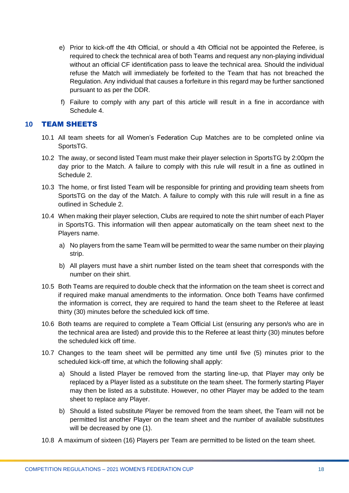- e) Prior to kick-off the 4th Official, or should a 4th Official not be appointed the Referee, is required to check the technical area of both Teams and request any non-playing individual without an official CF identification pass to leave the technical area. Should the individual refuse the Match will immediately be forfeited to the Team that has not breached the Regulation. Any individual that causes a forfeiture in this regard may be further sanctioned pursuant to as per the DDR.
- f) Failure to comply with any part of this article will result in a fine in accordance with Schedule 4.

#### <span id="page-17-0"></span>**10** TEAM SHEETS

- 10.1 All team sheets for all Women's Federation Cup Matches are to be completed online via SportsTG.
- 10.2 The away, or second listed Team must make their player selection in SportsTG by 2:00pm the day prior to the Match. A failure to comply with this rule will result in a fine as outlined in Schedule 2.
- 10.3 The home, or first listed Team will be responsible for printing and providing team sheets from SportsTG on the day of the Match. A failure to comply with this rule will result in a fine as outlined in Schedule 2.
- 10.4 When making their player selection, Clubs are required to note the shirt number of each Player in SportsTG. This information will then appear automatically on the team sheet next to the Players name.
	- a) No players from the same Team will be permitted to wear the same number on their playing strip.
	- b) All players must have a shirt number listed on the team sheet that corresponds with the number on their shirt.
- 10.5 Both Teams are required to double check that the information on the team sheet is correct and if required make manual amendments to the information. Once both Teams have confirmed the information is correct, they are required to hand the team sheet to the Referee at least thirty (30) minutes before the scheduled kick off time.
- 10.6 Both teams are required to complete a Team Official List (ensuring any person/s who are in the technical area are listed) and provide this to the Referee at least thirty (30) minutes before the scheduled kick off time.
- 10.7 Changes to the team sheet will be permitted any time until five (5) minutes prior to the scheduled kick-off time, at which the following shall apply:
	- a) Should a listed Player be removed from the starting line-up, that Player may only be replaced by a Player listed as a substitute on the team sheet. The formerly starting Player may then be listed as a substitute. However, no other Player may be added to the team sheet to replace any Player.
	- b) Should a listed substitute Player be removed from the team sheet, the Team will not be permitted list another Player on the team sheet and the number of available substitutes will be decreased by one (1).
- 10.8 A maximum of sixteen (16) Players per Team are permitted to be listed on the team sheet.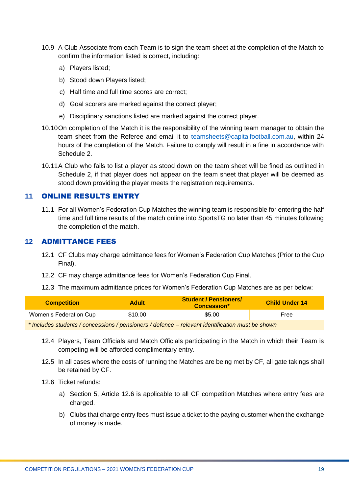- 10.9 A Club Associate from each Team is to sign the team sheet at the completion of the Match to confirm the information listed is correct, including:
	- a) Players listed;
	- b) Stood down Players listed;
	- c) Half time and full time scores are correct;
	- d) Goal scorers are marked against the correct player;
	- e) Disciplinary sanctions listed are marked against the correct player.
- 10.10On completion of the Match it is the responsibility of the winning team manager to obtain the team sheet from the Referee and email it to [teamsheets@capitalfootball.com.au,](mailto:teamsheets@capitalfootball.com.au) within 24 hours of the completion of the Match. Failure to comply will result in a fine in accordance with Schedule 2.
- 10.11A Club who fails to list a player as stood down on the team sheet will be fined as outlined in Schedule 2, if that player does not appear on the team sheet that player will be deemed as stood down providing the player meets the registration requirements.

#### <span id="page-18-0"></span>**11** ONLINE RESULTS ENTRY

11.1 For all Women's Federation Cup Matches the winning team is responsible for entering the half time and full time results of the match online into SportsTG no later than 45 minutes following the completion of the match.

#### <span id="page-18-1"></span>**12** ADMITTANCE FEES

- 12.1 CF Clubs may charge admittance fees for Women's Federation Cup Matches (Prior to the Cup Final).
- 12.2 CF may charge admittance fees for Women's Federation Cup Final.
- 12.3 The maximum admittance prices for Women's Federation Cup Matches are as per below:

| <b>Competition</b>                                                                               | <b>Adult</b> | <b>Student / Pensioners/</b><br><b>Concession*</b> | <b>Child Under 14</b> |  |  |
|--------------------------------------------------------------------------------------------------|--------------|----------------------------------------------------|-----------------------|--|--|
| Women's Federation Cup                                                                           | \$10.00      | \$5.00                                             |                       |  |  |
| * Includes students / concessions / pensioners / defence – relevant identification must be shown |              |                                                    |                       |  |  |

- 12.4 Players, Team Officials and Match Officials participating in the Match in which their Team is competing will be afforded complimentary entry.
- 12.5 In all cases where the costs of running the Matches are being met by CF, all gate takings shall be retained by CF.
- 12.6 Ticket refunds:
	- a) Section 5, Article 12.6 is applicable to all CF competition Matches where entry fees are charged.
	- b) Clubs that charge entry fees must issue a ticket to the paying customer when the exchange of money is made.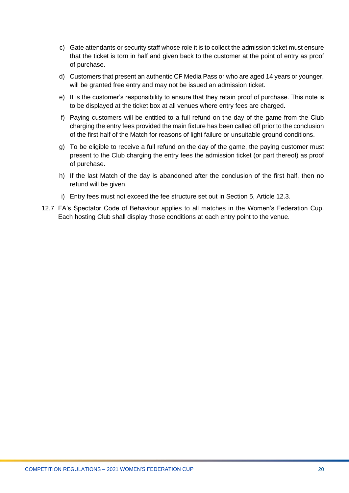- c) Gate attendants or security staff whose role it is to collect the admission ticket must ensure that the ticket is torn in half and given back to the customer at the point of entry as proof of purchase.
- d) Customers that present an authentic CF Media Pass or who are aged 14 years or younger, will be granted free entry and may not be issued an admission ticket.
- e) It is the customer's responsibility to ensure that they retain proof of purchase. This note is to be displayed at the ticket box at all venues where entry fees are charged.
- f) Paying customers will be entitled to a full refund on the day of the game from the Club charging the entry fees provided the main fixture has been called off prior to the conclusion of the first half of the Match for reasons of light failure or unsuitable ground conditions.
- g) To be eligible to receive a full refund on the day of the game, the paying customer must present to the Club charging the entry fees the admission ticket (or part thereof) as proof of purchase.
- h) If the last Match of the day is abandoned after the conclusion of the first half, then no refund will be given.
- i) Entry fees must not exceed the fee structure set out in Section 5, Article 12.3.
- 12.7 FA's Spectator Code of Behaviour applies to all matches in the Women's Federation Cup. Each hosting Club shall display those conditions at each entry point to the venue.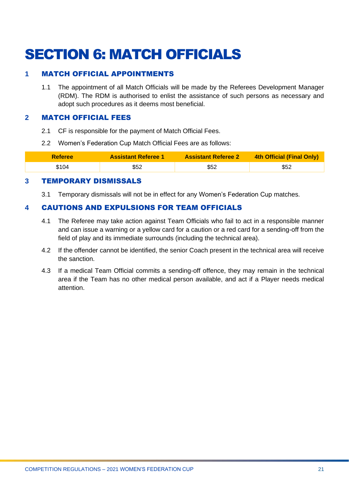# <span id="page-20-0"></span>SECTION 6: MATCH OFFICIALS

### <span id="page-20-1"></span>**1** MATCH OFFICIAL APPOINTMENTS

1.1 The appointment of all Match Officials will be made by the Referees Development Manager (RDM). The RDM is authorised to enlist the assistance of such persons as necessary and adopt such procedures as it deems most beneficial.

#### <span id="page-20-2"></span>**2** MATCH OFFICIAL FEES

- 2.1 CF is responsible for the payment of Match Official Fees.
- 2.2 Women's Federation Cup Match Official Fees are as follows:

| <b>Referee</b> | <b>Assistant Referee 1</b> | <b>Assistant Referee 2</b> | 4th Official (Final Only) |
|----------------|----------------------------|----------------------------|---------------------------|
| \$104          | \$52                       | \$52                       | \$52                      |

#### <span id="page-20-3"></span>**3** TEMPORARY DISMISSALS

3.1 Temporary dismissals will not be in effect for any Women's Federation Cup matches.

# <span id="page-20-4"></span>**4** CAUTIONS AND EXPULSIONS FOR TEAM OFFICIALS

- 4.1 The Referee may take action against Team Officials who fail to act in a responsible manner and can issue a warning or a yellow card for a caution or a red card for a sending-off from the field of play and its immediate surrounds (including the technical area).
- 4.2 If the offender cannot be identified, the senior Coach present in the technical area will receive the sanction.
- 4.3 If a medical Team Official commits a sending-off offence, they may remain in the technical area if the Team has no other medical person available, and act if a Player needs medical attention.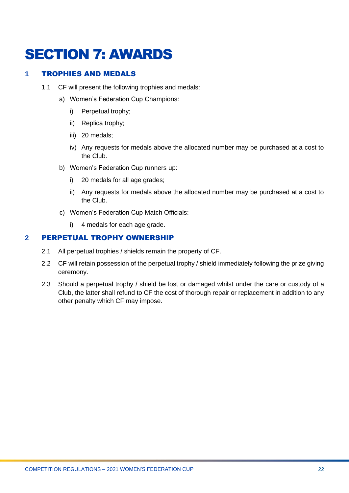# <span id="page-21-0"></span>SECTION 7: AWARDS

### <span id="page-21-1"></span>**1** TROPHIES AND MEDALS

- 1.1 CF will present the following trophies and medals:
	- a) Women's Federation Cup Champions:
		- i) Perpetual trophy;
		- ii) Replica trophy;
		- iii) 20 medals;
		- iv) Any requests for medals above the allocated number may be purchased at a cost to the Club.
	- b) Women's Federation Cup runners up:
		- i) 20 medals for all age grades;
		- ii) Any requests for medals above the allocated number may be purchased at a cost to the Club.
	- c) Women's Federation Cup Match Officials:
		- i) 4 medals for each age grade.

### <span id="page-21-2"></span>**2** PERPETUAL TROPHY OWNERSHIP

- 2.1 All perpetual trophies / shields remain the property of CF.
- 2.2 CF will retain possession of the perpetual trophy / shield immediately following the prize giving ceremony.
- 2.3 Should a perpetual trophy / shield be lost or damaged whilst under the care or custody of a Club, the latter shall refund to CF the cost of thorough repair or replacement in addition to any other penalty which CF may impose.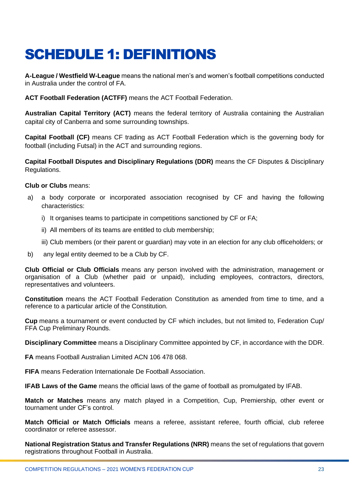# <span id="page-22-0"></span>SCHEDULE 1: DEFINITIONS

**A-League / Westfield W-League** means the national men's and women's football competitions conducted in Australia under the control of FA.

**ACT Football Federation (ACTFF)** means the ACT Football Federation.

**Australian Capital Territory (ACT)** means the federal territory of Australia containing the Australian capital city of Canberra and some surrounding townships.

**Capital Football (CF)** means CF trading as ACT Football Federation which is the governing body for football (including Futsal) in the ACT and surrounding regions.

**Capital Football Disputes and Disciplinary Regulations (DDR)** means the CF Disputes & Disciplinary Regulations.

**Club or Clubs** means:

- a) a body corporate or incorporated association recognised by CF and having the following characteristics:
	- i) It organises teams to participate in competitions sanctioned by CF or FA;
	- ii) All members of its teams are entitled to club membership;
	- iii) Club members (or their parent or guardian) may vote in an election for any club officeholders; or
- b) any legal entity deemed to be a Club by CF.

**Club Official or Club Officials** means any person involved with the administration, management or organisation of a Club (whether paid or unpaid), including employees, contractors, directors, representatives and volunteers.

**Constitution** means the ACT Football Federation Constitution as amended from time to time, and a reference to a particular article of the Constitution.

**Cup** means a tournament or event conducted by CF which includes, but not limited to, Federation Cup/ FFA Cup Preliminary Rounds.

**Disciplinary Committee** means a Disciplinary Committee appointed by CF, in accordance with the DDR.

**FA** means Football Australian Limited ACN 106 478 068.

**FIFA** means Federation Internationale De Football Association.

**IFAB Laws of the Game** means the official laws of the game of football as promulgated by IFAB.

**Match or Matches** means any match played in a Competition, Cup, Premiership, other event or tournament under CF's control.

**Match Official or Match Officials** means a referee, assistant referee, fourth official, club referee coordinator or referee assessor.

**National Registration Status and Transfer Regulations (NRR)** means the set of regulations that govern registrations throughout Football in Australia.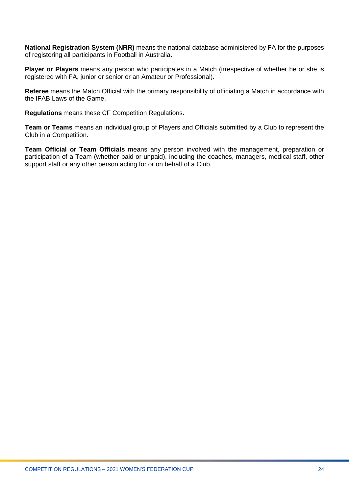**National Registration System (NRR)** means the national database administered by FA for the purposes of registering all participants in Football in Australia.

**Player or Players** means any person who participates in a Match (irrespective of whether he or she is registered with FA, junior or senior or an Amateur or Professional).

**Referee** means the Match Official with the primary responsibility of officiating a Match in accordance with the IFAB Laws of the Game.

**Regulations** means these CF Competition Regulations.

**Team or Teams** means an individual group of Players and Officials submitted by a Club to represent the Club in a Competition.

**Team Official or Team Officials** means any person involved with the management, preparation or participation of a Team (whether paid or unpaid), including the coaches, managers, medical staff, other support staff or any other person acting for or on behalf of a Club.